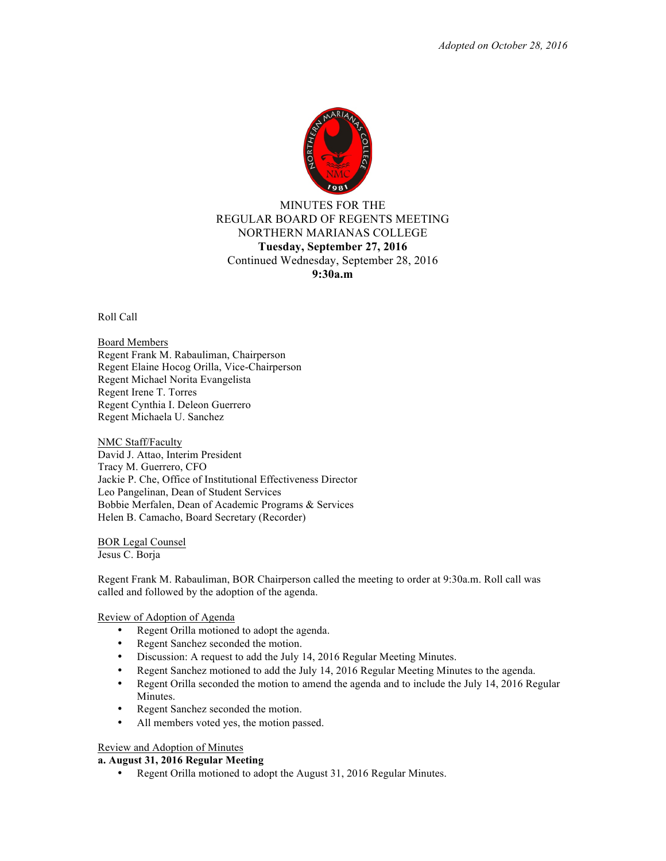

# MINUTES FOR THE REGULAR BOARD OF REGENTS MEETING NORTHERN MARIANAS COLLEGE **Tuesday, September 27, 2016** Continued Wednesday, September 28, 2016 **9:30a.m**

Roll Call

Board Members Regent Frank M. Rabauliman, Chairperson Regent Elaine Hocog Orilla, Vice-Chairperson Regent Michael Norita Evangelista Regent Irene T. Torres Regent Cynthia I. Deleon Guerrero Regent Michaela U. Sanchez

NMC Staff/Faculty David J. Attao, Interim President Tracy M. Guerrero, CFO Jackie P. Che, Office of Institutional Effectiveness Director Leo Pangelinan, Dean of Student Services Bobbie Merfalen, Dean of Academic Programs & Services Helen B. Camacho, Board Secretary (Recorder)

BOR Legal Counsel Jesus C. Borja

Regent Frank M. Rabauliman, BOR Chairperson called the meeting to order at 9:30a.m. Roll call was called and followed by the adoption of the agenda.

# Review of Adoption of Agenda

- Regent Orilla motioned to adopt the agenda.
- Regent Sanchez seconded the motion.
- Discussion: A request to add the July 14, 2016 Regular Meeting Minutes.
- Regent Sanchez motioned to add the July 14, 2016 Regular Meeting Minutes to the agenda.
- Regent Orilla seconded the motion to amend the agenda and to include the July 14, 2016 Regular Minutes.
- Regent Sanchez seconded the motion.
- All members voted yes, the motion passed.

# Review and Adoption of Minutes

# **a. August 31, 2016 Regular Meeting**

• Regent Orilla motioned to adopt the August 31, 2016 Regular Minutes.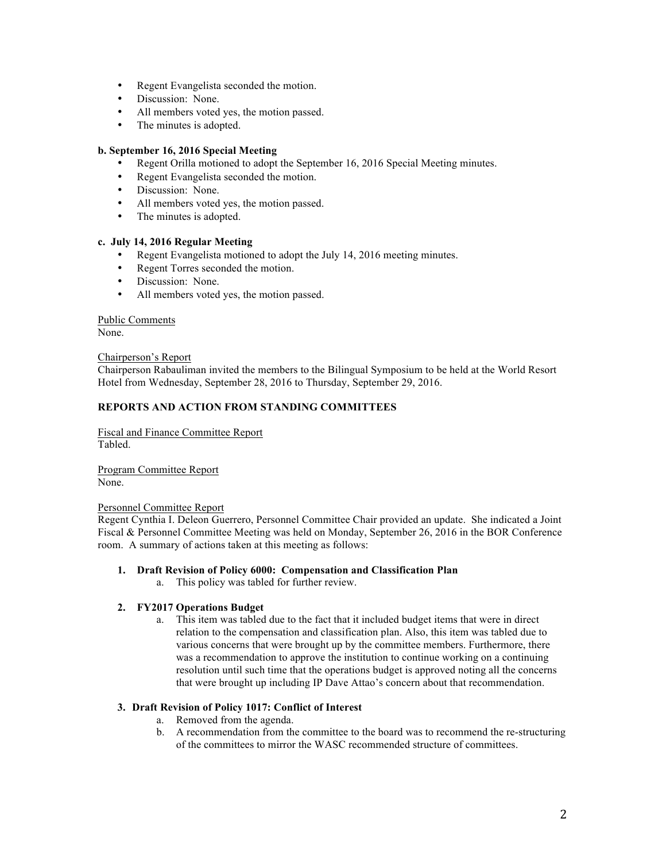- Regent Evangelista seconded the motion.
- Discussion: None.
- All members voted yes, the motion passed.
- The minutes is adopted.

### **b. September 16, 2016 Special Meeting**

- Regent Orilla motioned to adopt the September 16, 2016 Special Meeting minutes.
- Regent Evangelista seconded the motion.
- Discussion: None.
- All members voted yes, the motion passed.
- The minutes is adopted.

### **c. July 14, 2016 Regular Meeting**

- Regent Evangelista motioned to adopt the July 14, 2016 meeting minutes.
- Regent Torres seconded the motion.
- Discussion: None.
- All members voted yes, the motion passed.

### Public Comments

None.

### Chairperson's Report

Chairperson Rabauliman invited the members to the Bilingual Symposium to be held at the World Resort Hotel from Wednesday, September 28, 2016 to Thursday, September 29, 2016.

### **REPORTS AND ACTION FROM STANDING COMMITTEES**

Fiscal and Finance Committee Report Tabled.

Program Committee Report None.

### Personnel Committee Report

Regent Cynthia I. Deleon Guerrero, Personnel Committee Chair provided an update. She indicated a Joint Fiscal & Personnel Committee Meeting was held on Monday, September 26, 2016 in the BOR Conference room. A summary of actions taken at this meeting as follows:

### **1. Draft Revision of Policy 6000: Compensation and Classification Plan**

a. This policy was tabled for further review.

### **2. FY2017 Operations Budget**

a. This item was tabled due to the fact that it included budget items that were in direct relation to the compensation and classification plan. Also, this item was tabled due to various concerns that were brought up by the committee members. Furthermore, there was a recommendation to approve the institution to continue working on a continuing resolution until such time that the operations budget is approved noting all the concerns that were brought up including IP Dave Attao's concern about that recommendation.

### **3. Draft Revision of Policy 1017: Conflict of Interest**

- a. Removed from the agenda.
- b. A recommendation from the committee to the board was to recommend the re-structuring of the committees to mirror the WASC recommended structure of committees.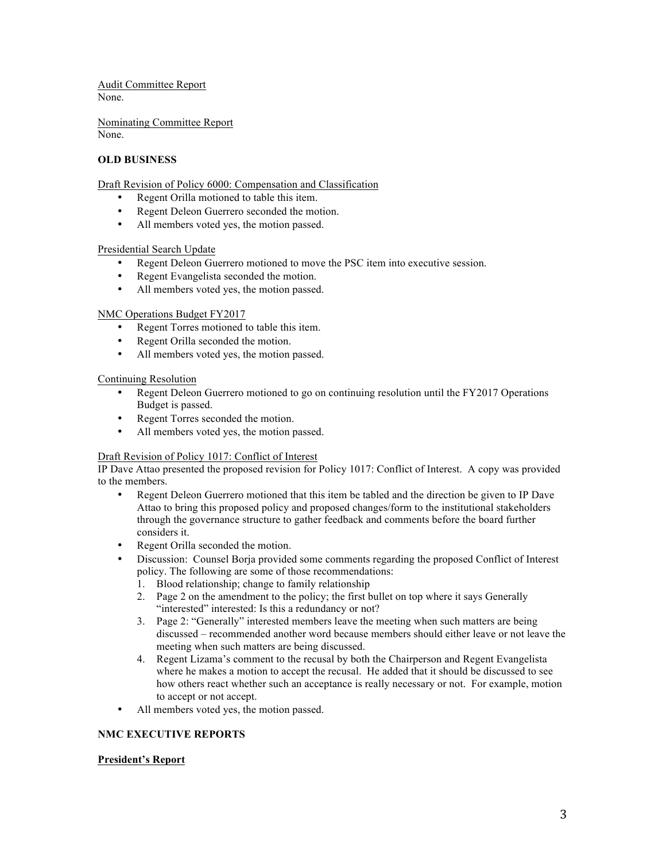Audit Committee Report None.

Nominating Committee Report None.

# **OLD BUSINESS**

Draft Revision of Policy 6000: Compensation and Classification

- Regent Orilla motioned to table this item.
- Regent Deleon Guerrero seconded the motion.
- All members voted yes, the motion passed.

### Presidential Search Update

- Regent Deleon Guerrero motioned to move the PSC item into executive session.
- Regent Evangelista seconded the motion.
- All members voted yes, the motion passed.

### NMC Operations Budget FY2017

- Regent Torres motioned to table this item.
- Regent Orilla seconded the motion.
- All members voted yes, the motion passed.

### Continuing Resolution

- Regent Deleon Guerrero motioned to go on continuing resolution until the FY2017 Operations Budget is passed.
- Regent Torres seconded the motion.
- All members voted yes, the motion passed.

### Draft Revision of Policy 1017: Conflict of Interest

IP Dave Attao presented the proposed revision for Policy 1017: Conflict of Interest. A copy was provided to the members.

- Regent Deleon Guerrero motioned that this item be tabled and the direction be given to IP Dave Attao to bring this proposed policy and proposed changes/form to the institutional stakeholders through the governance structure to gather feedback and comments before the board further considers it.
- Regent Orilla seconded the motion.
- Discussion: Counsel Borja provided some comments regarding the proposed Conflict of Interest policy. The following are some of those recommendations:
	- 1. Blood relationship; change to family relationship
	- 2. Page 2 on the amendment to the policy; the first bullet on top where it says Generally "interested" interested: Is this a redundancy or not?
	- 3. Page 2: "Generally" interested members leave the meeting when such matters are being discussed – recommended another word because members should either leave or not leave the meeting when such matters are being discussed.
	- 4. Regent Lizama's comment to the recusal by both the Chairperson and Regent Evangelista where he makes a motion to accept the recusal. He added that it should be discussed to see how others react whether such an acceptance is really necessary or not. For example, motion to accept or not accept.
- All members voted yes, the motion passed.

# **NMC EXECUTIVE REPORTS**

# **President's Report**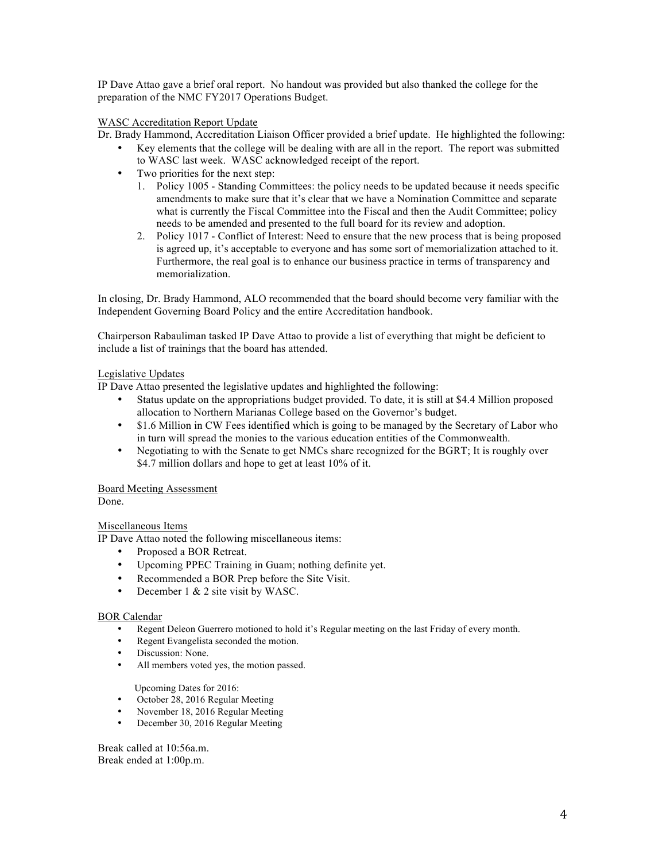IP Dave Attao gave a brief oral report. No handout was provided but also thanked the college for the preparation of the NMC FY2017 Operations Budget.

# WASC Accreditation Report Update

Dr. Brady Hammond, Accreditation Liaison Officer provided a brief update. He highlighted the following:

- Key elements that the college will be dealing with are all in the report. The report was submitted to WASC last week. WASC acknowledged receipt of the report.
- Two priorities for the next step:
	- 1. Policy 1005 Standing Committees: the policy needs to be updated because it needs specific amendments to make sure that it's clear that we have a Nomination Committee and separate what is currently the Fiscal Committee into the Fiscal and then the Audit Committee; policy needs to be amended and presented to the full board for its review and adoption.
	- 2. Policy 1017 Conflict of Interest: Need to ensure that the new process that is being proposed is agreed up, it's acceptable to everyone and has some sort of memorialization attached to it. Furthermore, the real goal is to enhance our business practice in terms of transparency and memorialization.

In closing, Dr. Brady Hammond, ALO recommended that the board should become very familiar with the Independent Governing Board Policy and the entire Accreditation handbook.

Chairperson Rabauliman tasked IP Dave Attao to provide a list of everything that might be deficient to include a list of trainings that the board has attended.

# Legislative Updates

IP Dave Attao presented the legislative updates and highlighted the following:

- Status update on the appropriations budget provided. To date, it is still at \$4.4 Million proposed allocation to Northern Marianas College based on the Governor's budget.
- \$1.6 Million in CW Fees identified which is going to be managed by the Secretary of Labor who in turn will spread the monies to the various education entities of the Commonwealth.
- Negotiating to with the Senate to get NMCs share recognized for the BGRT; It is roughly over \$4.7 million dollars and hope to get at least 10% of it.

# Board Meeting Assessment

Done.

# Miscellaneous Items

IP Dave Attao noted the following miscellaneous items:

- Proposed a BOR Retreat.
- Upcoming PPEC Training in Guam; nothing definite yet.
- Recommended a BOR Prep before the Site Visit.
- December 1 & 2 site visit by WASC.

### BOR Calendar

- Regent Deleon Guerrero motioned to hold it's Regular meeting on the last Friday of every month.
- Regent Evangelista seconded the motion.
- Discussion: None.
- All members voted yes, the motion passed.

Upcoming Dates for 2016:

- October 28, 2016 Regular Meeting
- November 18, 2016 Regular Meeting<br>• December 30, 2016 Regular Meeting
- December 30, 2016 Regular Meeting

Break called at 10:56a.m. Break ended at 1:00p.m.